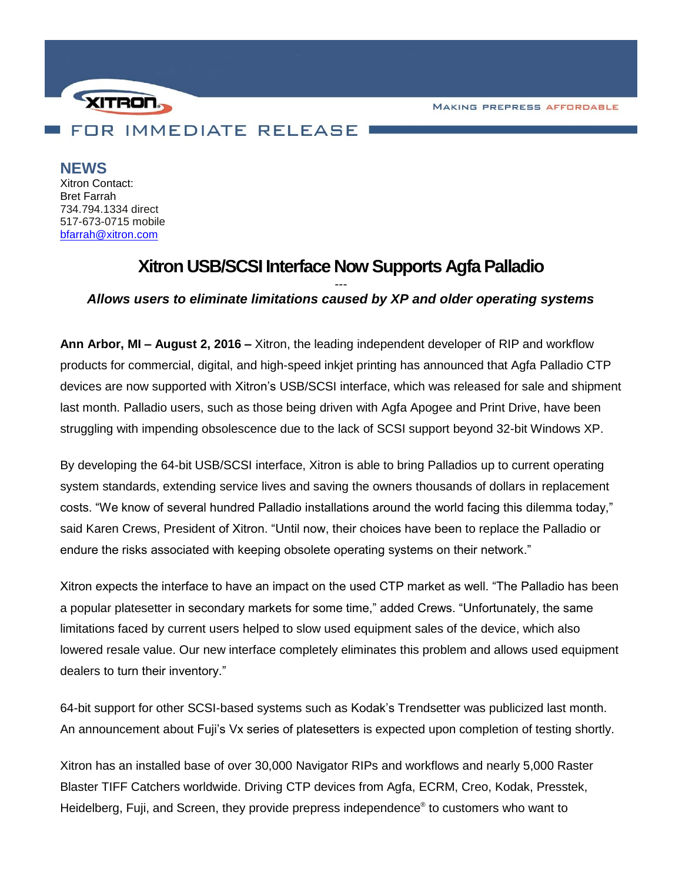**MAKING PREPRESS AFFORDABLE** 



**NEWS** Xitron Contact: Bret Farrah 734.794.1334 direct 517-673-0715 mobile [bfarrah@xitron.com](mailto:bfarrah@xitron.com)

## **Xitron USB/SCSI Interface Now Supports Agfa Palladio**

## *--- Allows users to eliminate limitations caused by XP and older operating systems*

**Ann Arbor, MI – August 2, 2016 –** Xitron, the leading independent developer of RIP and workflow products for commercial, digital, and high-speed inkjet printing has announced that Agfa Palladio CTP devices are now supported with Xitron's USB/SCSI interface, which was released for sale and shipment last month. Palladio users, such as those being driven with Agfa Apogee and Print Drive, have been struggling with impending obsolescence due to the lack of SCSI support beyond 32-bit Windows XP.

By developing the 64-bit USB/SCSI interface, Xitron is able to bring Palladios up to current operating system standards, extending service lives and saving the owners thousands of dollars in replacement costs. "We know of several hundred Palladio installations around the world facing this dilemma today," said Karen Crews, President of Xitron. "Until now, their choices have been to replace the Palladio or endure the risks associated with keeping obsolete operating systems on their network."

Xitron expects the interface to have an impact on the used CTP market as well. "The Palladio has been a popular platesetter in secondary markets for some time," added Crews. "Unfortunately, the same limitations faced by current users helped to slow used equipment sales of the device, which also lowered resale value. Our new interface completely eliminates this problem and allows used equipment dealers to turn their inventory."

64-bit support for other SCSI-based systems such as Kodak's Trendsetter was publicized last month. An announcement about Fuji's Vx series of platesetters is expected upon completion of testing shortly.

Xitron has an installed base of over 30,000 Navigator RIPs and workflows and nearly 5,000 Raster Blaster TIFF Catchers worldwide. Driving CTP devices from Agfa, ECRM, Creo, Kodak, Presstek, Heidelberg, Fuji, and Screen, they provide prepress independence® to customers who want to